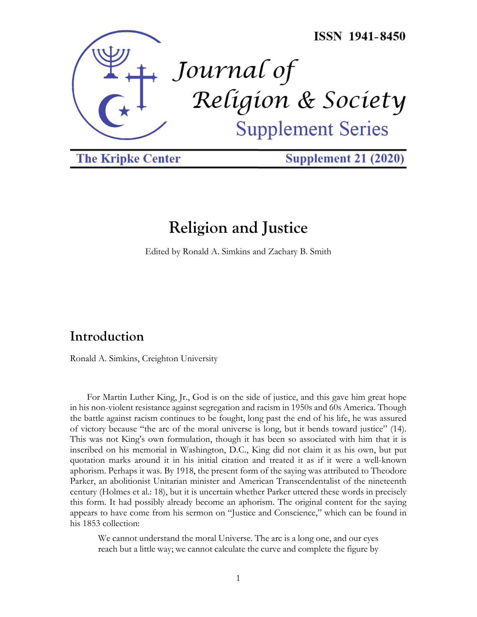

**The Kripke Center** 

**Supplement 21 (2020)** 

# **Religion and Justice**

Edited by Ronald A. Simkins and Zachary B. Smith

# **Introduction**

Ronald A. Simkins, Creighton University

For Martin Luther King, Jr., God is on the side of justice, and this gave him great hope in his non-violent resistance against segregation and racism in 1950s and 60s America. Though the battle against racism continues to be fought, long past the end of his life, he was assured of victory because "the arc of the moral universe is long, but it bends toward justice" (14). This was not King's own formulation, though it has been so associated with him that it is inscribed on his memorial in Washington, D.C., King did not claim it as his own, but put quotation marks around it in his initial citation and treated it as if it were a well-known aphorism. Perhaps it was. By 1918, the present form of the saying was attributed to Theodore Parker, an abolitionist Unitarian minister and American Transcendentalist of the nineteenth century (Holmes et al.: 18), but it is uncertain whether Parker uttered these words in precisely this form. It had possibly already become an aphorism. The original content for the saying appears to have come from his sermon on "Justice and Conscience," which can be found in his 1853 collection:

We cannot understand the moral Universe. The arc is a long one, and our eyes reach but a little way; we cannot calculate the curve and complete the figure by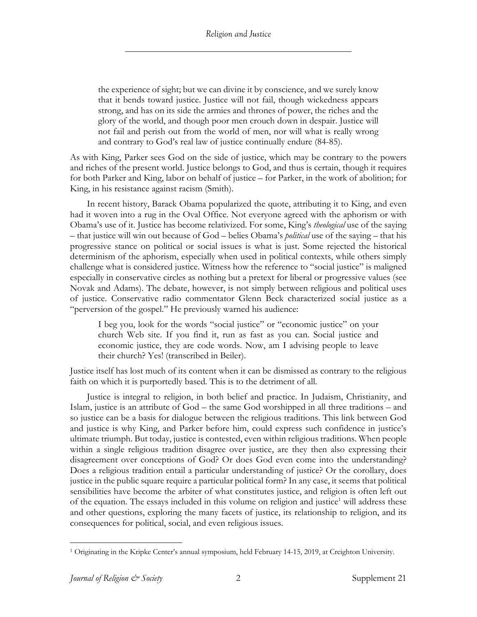the experience of sight; but we can divine it by conscience, and we surely know that it bends toward justice. Justice will not fail, though wickedness appears strong, and has on its side the armies and thrones of power, the riches and the glory of the world, and though poor men crouch down in despair. Justice will not fail and perish out from the world of men, nor will what is really wrong and contrary to God's real law of justice continually endure (84-85).

As with King, Parker sees God on the side of justice, which may be contrary to the powers and riches of the present world. Justice belongs to God, and thus is certain, though it requires for both Parker and King, labor on behalf of justice – for Parker, in the work of abolition; for King, in his resistance against racism (Smith).

In recent history, Barack Obama popularized the quote, attributing it to King, and even had it woven into a rug in the Oval Office. Not everyone agreed with the aphorism or with Obama's use of it. Justice has become relativized. For some, King's *theological* use of the saying – that justice will win out because of God – belies Obama's *political* use of the saying – that his progressive stance on political or social issues is what is just. Some rejected the historical determinism of the aphorism, especially when used in political contexts, while others simply challenge what is considered justice. Witness how the reference to "social justice" is maligned especially in conservative circles as nothing but a pretext for liberal or progressive values (see Novak and Adams). The debate, however, is not simply between religious and political uses of justice. Conservative radio commentator Glenn Beck characterized social justice as a "perversion of the gospel." He previously warned his audience:

I beg you, look for the words "social justice" or "economic justice" on your church Web site. If you find it, run as fast as you can. Social justice and economic justice, they are code words. Now, am I advising people to leave their church? Yes! (transcribed in Beiler).

Justice itself has lost much of its content when it can be dismissed as contrary to the religious faith on which it is purportedly based. This is to the detriment of all.

Justice is integral to religion, in both belief and practice. In Judaism, Christianity, and Islam, justice is an attribute of God – the same God worshipped in all three traditions – and so justice can be a basis for dialogue between the religious traditions. This link between God and justice is why King, and Parker before him, could express such confidence in justice's ultimate triumph. But today, justice is contested, even within religious traditions. When people within a single religious tradition disagree over justice, are they then also expressing their disagreement over conceptions of God? Or does God even come into the understanding? Does a religious tradition entail a particular understanding of justice? Or the corollary, does justice in the public square require a particular political form? In any case, it seems that political sensibilities have become the arbiter of what constitutes justice, and religion is often left out of the equation. The essays included in this volume on religion and justice<sup>1</sup> will address these and other questions, exploring the many facets of justice, its relationship to religion, and its consequences for political, social, and even religious issues.

<sup>1</sup> Originating in the Kripke Center's annual symposium, held February 14-15, 2019, at Creighton University.